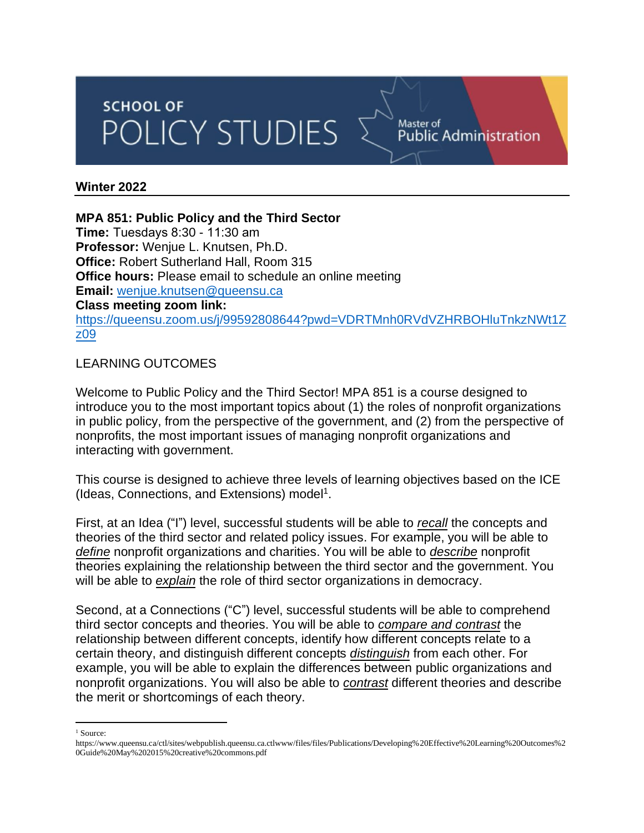# **SCHOOL OF** POLICY STUDIES

#### **Winter 2022**

#### **MPA 851: Public Policy and the Third Sector**

**Time:** Tuesdays 8:30 - 11:30 am **Professor:** Wenjue L. Knutsen, Ph.D. **Office:** Robert Sutherland Hall, Room 315 **Office hours:** Please email to schedule an online meeting **Email:** [wenjue.knutsen@queensu.ca](mailto:wenjue.knutsen@queensu.ca) **Class meeting zoom link:** [https://queensu.zoom.us/j/99592808644?pwd=VDRTMnh0RVdVZHRBOHluTnkzNWt1Z](https://queensu.zoom.us/j/99592808644?pwd=VDRTMnh0RVdVZHRBOHluTnkzNWt1Zz09) [z09](https://queensu.zoom.us/j/99592808644?pwd=VDRTMnh0RVdVZHRBOHluTnkzNWt1Zz09)

Master of<br>Public Administration

## LEARNING OUTCOMES

Welcome to Public Policy and the Third Sector! MPA 851 is a course designed to introduce you to the most important topics about (1) the roles of nonprofit organizations in public policy, from the perspective of the government, and (2) from the perspective of nonprofits, the most important issues of managing nonprofit organizations and interacting with government.

This course is designed to achieve three levels of learning objectives based on the ICE (Ideas, Connections, and Extensions) model<sup>1</sup>.

First, at an Idea ("I") level, successful students will be able to *recall* the concepts and theories of the third sector and related policy issues. For example, you will be able to *define* nonprofit organizations and charities. You will be able to *describe* nonprofit theories explaining the relationship between the third sector and the government. You will be able to *explain* the role of third sector organizations in democracy.

Second, at a Connections ("C") level, successful students will be able to comprehend third sector concepts and theories. You will be able to *compare and contrast* the relationship between different concepts, identify how different concepts relate to a certain theory, and distinguish different concepts *distinguish* from each other. For example, you will be able to explain the differences between public organizations and nonprofit organizations. You will also be able to *contrast* different theories and describe the merit or shortcomings of each theory.

<sup>1</sup> Source:

https://www.queensu.ca/ctl/sites/webpublish.queensu.ca.ctlwww/files/files/Publications/Developing%20Effective%20Learning%20Outcomes%2 0Guide%20May%202015%20creative%20commons.pdf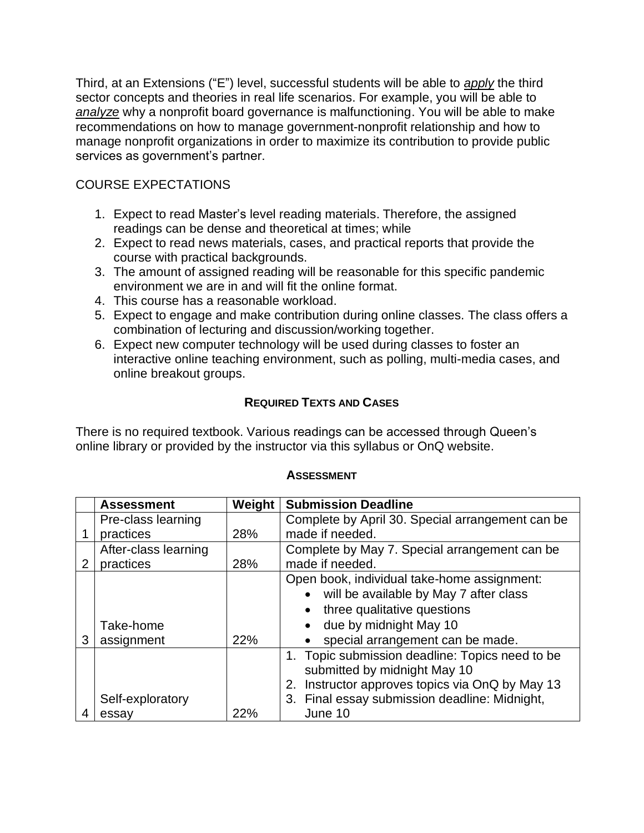Third, at an Extensions ("E") level, successful students will be able to *apply* the third sector concepts and theories in real life scenarios. For example, you will be able to *analyze* why a nonprofit board governance is malfunctioning. You will be able to make recommendations on how to manage government-nonprofit relationship and how to manage nonprofit organizations in order to maximize its contribution to provide public services as government's partner.

# COURSE EXPECTATIONS

- 1. Expect to read Master's level reading materials. Therefore, the assigned readings can be dense and theoretical at times; while
- 2. Expect to read news materials, cases, and practical reports that provide the course with practical backgrounds.
- 3. The amount of assigned reading will be reasonable for this specific pandemic environment we are in and will fit the online format.
- 4. This course has a reasonable workload.
- 5. Expect to engage and make contribution during online classes. The class offers a combination of lecturing and discussion/working together.
- 6. Expect new computer technology will be used during classes to foster an interactive online teaching environment, such as polling, multi-media cases, and online breakout groups.

## **REQUIRED TEXTS AND CASES**

There is no required textbook. Various readings can be accessed through Queen's online library or provided by the instructor via this syllabus or OnQ website.

|   | <b>Assessment</b>    | Weight | <b>Submission Deadline</b>                         |  |
|---|----------------------|--------|----------------------------------------------------|--|
|   | Pre-class learning   |        | Complete by April 30. Special arrangement can be   |  |
|   | practices            | 28%    | made if needed.                                    |  |
|   | After-class learning |        | Complete by May 7. Special arrangement can be      |  |
| 2 | practices            | 28%    | made if needed.                                    |  |
|   |                      |        | Open book, individual take-home assignment:        |  |
|   |                      |        | will be available by May 7 after class             |  |
|   |                      |        | three qualitative questions<br>$\bullet$           |  |
|   | Take-home            |        | due by midnight May 10<br>$\bullet$                |  |
| 3 | assignment           | 22%    | special arrangement can be made.                   |  |
|   |                      |        | 1. Topic submission deadline: Topics need to be    |  |
|   |                      |        | submitted by midnight May 10                       |  |
|   |                      |        | Instructor approves topics via OnQ by May 13<br>2. |  |
|   | Self-exploratory     |        | 3. Final essay submission deadline: Midnight,      |  |
|   | essay                | 22%    | June 10                                            |  |

## **ASSESSMENT**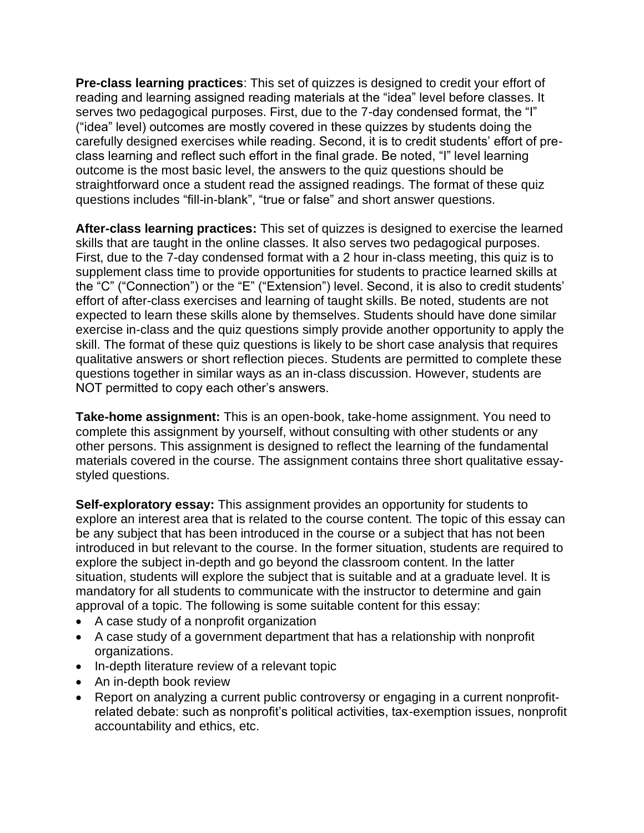**Pre-class learning practices**: This set of quizzes is designed to credit your effort of reading and learning assigned reading materials at the "idea" level before classes. It serves two pedagogical purposes. First, due to the 7-day condensed format, the "I" ("idea" level) outcomes are mostly covered in these quizzes by students doing the carefully designed exercises while reading. Second, it is to credit students' effort of preclass learning and reflect such effort in the final grade. Be noted, "I" level learning outcome is the most basic level, the answers to the quiz questions should be straightforward once a student read the assigned readings. The format of these quiz questions includes "fill-in-blank", "true or false" and short answer questions.

**After-class learning practices:** This set of quizzes is designed to exercise the learned skills that are taught in the online classes. It also serves two pedagogical purposes. First, due to the 7-day condensed format with a 2 hour in-class meeting, this quiz is to supplement class time to provide opportunities for students to practice learned skills at the "C" ("Connection") or the "E" ("Extension") level. Second, it is also to credit students' effort of after-class exercises and learning of taught skills. Be noted, students are not expected to learn these skills alone by themselves. Students should have done similar exercise in-class and the quiz questions simply provide another opportunity to apply the skill. The format of these quiz questions is likely to be short case analysis that requires qualitative answers or short reflection pieces. Students are permitted to complete these questions together in similar ways as an in-class discussion. However, students are NOT permitted to copy each other's answers.

**Take-home assignment:** This is an open-book, take-home assignment. You need to complete this assignment by yourself, without consulting with other students or any other persons. This assignment is designed to reflect the learning of the fundamental materials covered in the course. The assignment contains three short qualitative essaystyled questions.

**Self-exploratory essay:** This assignment provides an opportunity for students to explore an interest area that is related to the course content. The topic of this essay can be any subject that has been introduced in the course or a subject that has not been introduced in but relevant to the course. In the former situation, students are required to explore the subject in-depth and go beyond the classroom content. In the latter situation, students will explore the subject that is suitable and at a graduate level. It is mandatory for all students to communicate with the instructor to determine and gain approval of a topic. The following is some suitable content for this essay:

- A case study of a nonprofit organization
- A case study of a government department that has a relationship with nonprofit organizations.
- In-depth literature review of a relevant topic
- An in-depth book review
- Report on analyzing a current public controversy or engaging in a current nonprofitrelated debate: such as nonprofit's political activities, tax-exemption issues, nonprofit accountability and ethics, etc.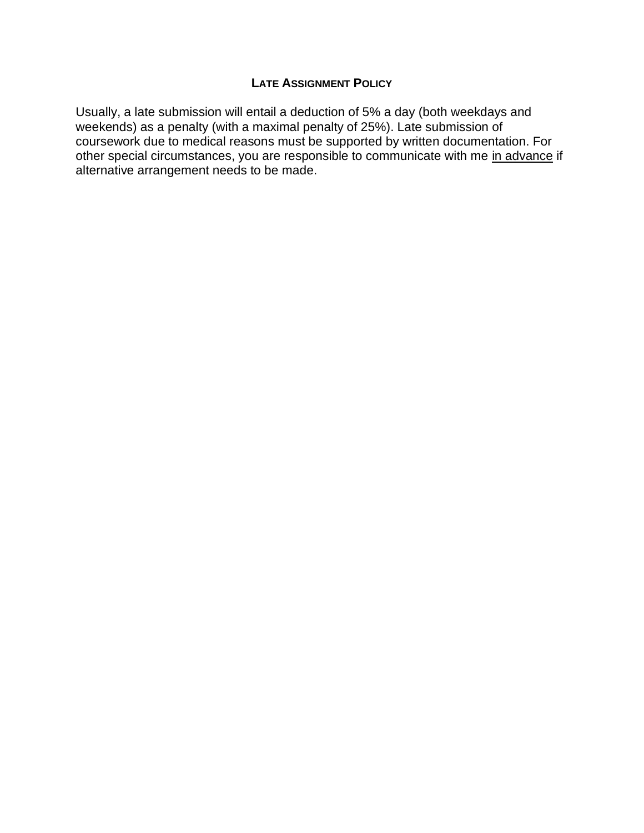## **LATE ASSIGNMENT POLICY**

Usually, a late submission will entail a deduction of 5% a day (both weekdays and weekends) as a penalty (with a maximal penalty of 25%). Late submission of coursework due to medical reasons must be supported by written documentation. For other special circumstances, you are responsible to communicate with me in advance if alternative arrangement needs to be made.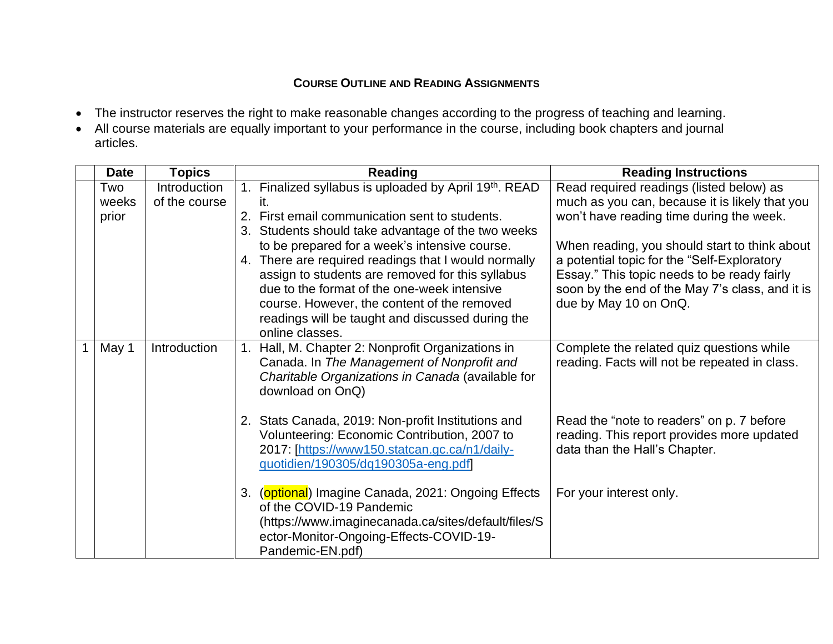# **COURSE OUTLINE AND READING ASSIGNMENTS**

- The instructor reserves the right to make reasonable changes according to the progress of teaching and learning.
- All course materials are equally important to your performance in the course, including book chapters and journal articles.

| <b>Date</b>           | <b>Topics</b>                 | <b>Reading</b>                                                                                                                                                                                                                                                                                                                                                                          | <b>Reading Instructions</b>                                                                                                                                                                                             |
|-----------------------|-------------------------------|-----------------------------------------------------------------------------------------------------------------------------------------------------------------------------------------------------------------------------------------------------------------------------------------------------------------------------------------------------------------------------------------|-------------------------------------------------------------------------------------------------------------------------------------------------------------------------------------------------------------------------|
| Two<br>weeks<br>prior | Introduction<br>of the course | 1. Finalized syllabus is uploaded by April 19th. READ<br>First email communication sent to students.<br>2.                                                                                                                                                                                                                                                                              | Read required readings (listed below) as<br>much as you can, because it is likely that you<br>won't have reading time during the week.                                                                                  |
|                       |                               | 3. Students should take advantage of the two weeks<br>to be prepared for a week's intensive course.<br>There are required readings that I would normally<br>4.<br>assign to students are removed for this syllabus<br>due to the format of the one-week intensive<br>course. However, the content of the removed<br>readings will be taught and discussed during the<br>online classes. | When reading, you should start to think about<br>a potential topic for the "Self-Exploratory<br>Essay." This topic needs to be ready fairly<br>soon by the end of the May 7's class, and it is<br>due by May 10 on OnQ. |
| May 1                 | Introduction                  | Hall, M. Chapter 2: Nonprofit Organizations in<br>$1_{\cdot}$<br>Canada. In The Management of Nonprofit and<br>Charitable Organizations in Canada (available for<br>download on OnQ)                                                                                                                                                                                                    | Complete the related quiz questions while<br>reading. Facts will not be repeated in class.                                                                                                                              |
|                       |                               | 2. Stats Canada, 2019: Non-profit Institutions and<br>Volunteering: Economic Contribution, 2007 to<br>2017: [https://www150.statcan.gc.ca/n1/daily-<br>quotidien/190305/dq190305a-eng.pdf                                                                                                                                                                                               | Read the "note to readers" on p. 7 before<br>reading. This report provides more updated<br>data than the Hall's Chapter.                                                                                                |
|                       |                               | (optional) Imagine Canada, 2021: Ongoing Effects<br>3.<br>of the COVID-19 Pandemic<br>(https://www.imaginecanada.ca/sites/default/files/S<br>ector-Monitor-Ongoing-Effects-COVID-19-<br>Pandemic-EN.pdf)                                                                                                                                                                                | For your interest only.                                                                                                                                                                                                 |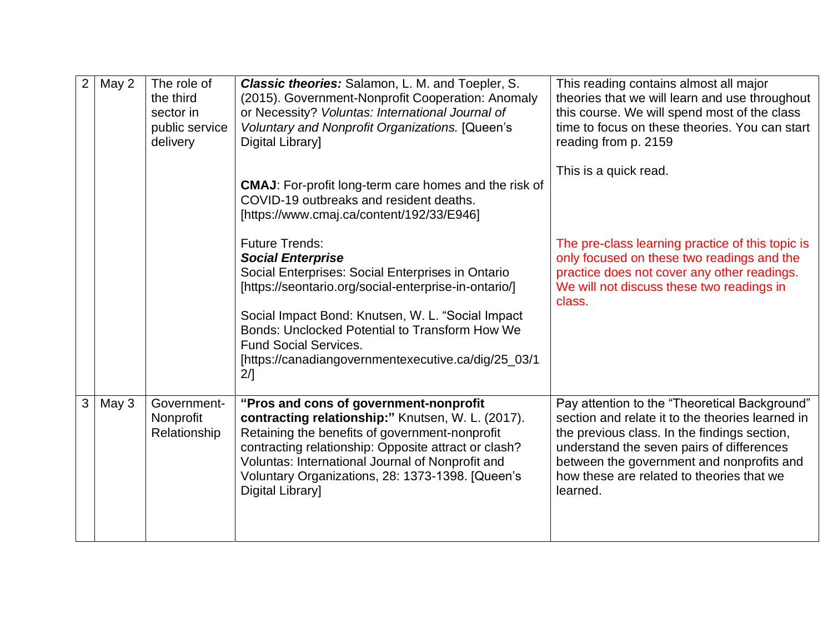| $\overline{2}$ | May 2 | The role of<br>the third<br>sector in<br>public service<br>delivery | Classic theories: Salamon, L. M. and Toepler, S.<br>(2015). Government-Nonprofit Cooperation: Anomaly<br>or Necessity? Voluntas: International Journal of<br>Voluntary and Nonprofit Organizations. [Queen's<br>Digital Library]                                                                                                  | This reading contains almost all major<br>theories that we will learn and use throughout<br>this course. We will spend most of the class<br>time to focus on these theories. You can start<br>reading from p. 2159                                                                                   |
|----------------|-------|---------------------------------------------------------------------|-----------------------------------------------------------------------------------------------------------------------------------------------------------------------------------------------------------------------------------------------------------------------------------------------------------------------------------|------------------------------------------------------------------------------------------------------------------------------------------------------------------------------------------------------------------------------------------------------------------------------------------------------|
|                |       |                                                                     | <b>CMAJ:</b> For-profit long-term care homes and the risk of<br>COVID-19 outbreaks and resident deaths.<br>[https://www.cmaj.ca/content/192/33/E946]                                                                                                                                                                              | This is a quick read.                                                                                                                                                                                                                                                                                |
|                |       |                                                                     | <b>Future Trends:</b><br><b>Social Enterprise</b><br>Social Enterprises: Social Enterprises in Ontario<br>[https://seontario.org/social-enterprise-in-ontario/]                                                                                                                                                                   | The pre-class learning practice of this topic is<br>only focused on these two readings and the<br>practice does not cover any other readings.<br>We will not discuss these two readings in<br>class.                                                                                                 |
|                |       |                                                                     | Social Impact Bond: Knutsen, W. L. "Social Impact<br>Bonds: Unclocked Potential to Transform How We<br><b>Fund Social Services.</b><br>[https://canadiangovernmentexecutive.ca/dig/25_03/1<br>2/1                                                                                                                                 |                                                                                                                                                                                                                                                                                                      |
| 3              | May 3 | Government-<br>Nonprofit<br>Relationship                            | "Pros and cons of government-nonprofit<br>contracting relationship:" Knutsen, W. L. (2017).<br>Retaining the benefits of government-nonprofit<br>contracting relationship: Opposite attract or clash?<br>Voluntas: International Journal of Nonprofit and<br>Voluntary Organizations, 28: 1373-1398. [Queen's<br>Digital Library] | Pay attention to the "Theoretical Background"<br>section and relate it to the theories learned in<br>the previous class. In the findings section,<br>understand the seven pairs of differences<br>between the government and nonprofits and<br>how these are related to theories that we<br>learned. |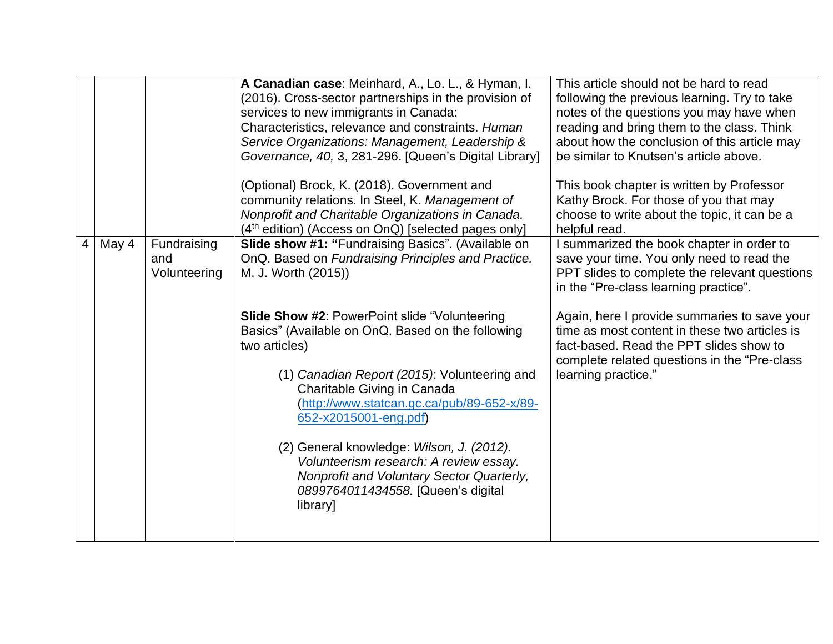|   |       |                                    | A Canadian case: Meinhard, A., Lo. L., & Hyman, I.<br>(2016). Cross-sector partnerships in the provision of<br>services to new immigrants in Canada:<br>Characteristics, relevance and constraints. Human<br>Service Organizations: Management, Leadership &<br>Governance, 40, 3, 281-296. [Queen's Digital Library] | This article should not be hard to read<br>following the previous learning. Try to take<br>notes of the questions you may have when<br>reading and bring them to the class. Think<br>about how the conclusion of this article may<br>be similar to Knutsen's article above. |
|---|-------|------------------------------------|-----------------------------------------------------------------------------------------------------------------------------------------------------------------------------------------------------------------------------------------------------------------------------------------------------------------------|-----------------------------------------------------------------------------------------------------------------------------------------------------------------------------------------------------------------------------------------------------------------------------|
|   |       |                                    | (Optional) Brock, K. (2018). Government and<br>community relations. In Steel, K. Management of<br>Nonprofit and Charitable Organizations in Canada.<br>(4 <sup>th</sup> edition) (Access on OnQ) [selected pages only]                                                                                                | This book chapter is written by Professor<br>Kathy Brock. For those of you that may<br>choose to write about the topic, it can be a<br>helpful read.                                                                                                                        |
| 4 | May 4 | Fundraising<br>and<br>Volunteering | Slide show #1: "Fundraising Basics". (Available on<br>OnQ. Based on Fundraising Principles and Practice.<br>M. J. Worth (2015))                                                                                                                                                                                       | I summarized the book chapter in order to<br>save your time. You only need to read the<br>PPT slides to complete the relevant questions<br>in the "Pre-class learning practice".                                                                                            |
|   |       |                                    | <b>Slide Show #2: PowerPoint slide "Volunteering</b><br>Basics" (Available on OnQ. Based on the following<br>two articles)<br>(1) Canadian Report (2015): Volunteering and                                                                                                                                            | Again, here I provide summaries to save your<br>time as most content in these two articles is<br>fact-based. Read the PPT slides show to<br>complete related questions in the "Pre-class"<br>learning practice."                                                            |
|   |       |                                    | Charitable Giving in Canada<br>(http://www.statcan.gc.ca/pub/89-652-x/89-<br>652-x2015001-eng.pdf)                                                                                                                                                                                                                    |                                                                                                                                                                                                                                                                             |
|   |       |                                    | (2) General knowledge: Wilson, J. (2012).<br>Volunteerism research: A review essay.<br>Nonprofit and Voluntary Sector Quarterly,<br>0899764011434558. [Queen's digital<br>library]                                                                                                                                    |                                                                                                                                                                                                                                                                             |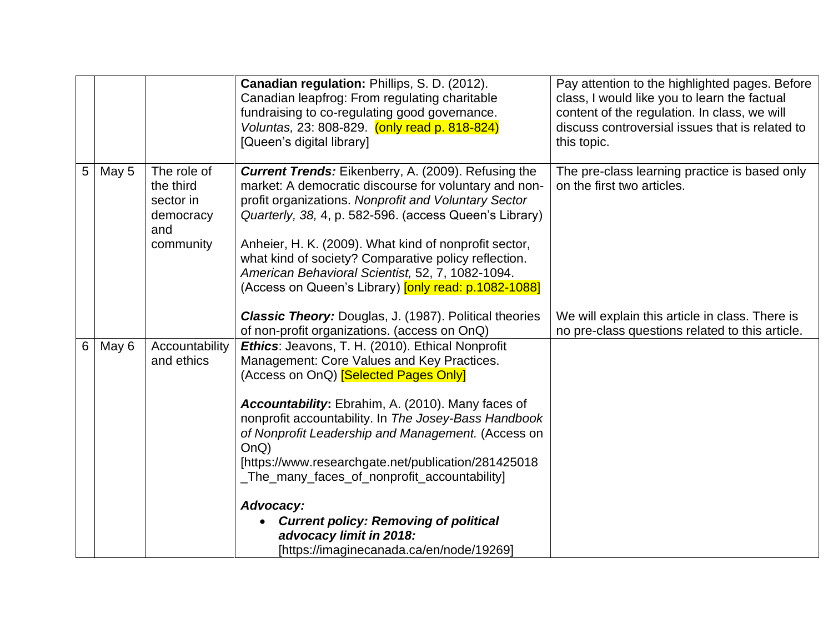|                |       |                                                                        | Canadian regulation: Phillips, S. D. (2012).<br>Canadian leapfrog: From regulating charitable<br>fundraising to co-regulating good governance.<br>Voluntas, 23: 808-829. (only read p. 818-824)<br>[Queen's digital library]                                                                                                                                                                                                                                                                                                                                         | Pay attention to the highlighted pages. Before<br>class, I would like you to learn the factual<br>content of the regulation. In class, we will<br>discuss controversial issues that is related to<br>this topic. |
|----------------|-------|------------------------------------------------------------------------|----------------------------------------------------------------------------------------------------------------------------------------------------------------------------------------------------------------------------------------------------------------------------------------------------------------------------------------------------------------------------------------------------------------------------------------------------------------------------------------------------------------------------------------------------------------------|------------------------------------------------------------------------------------------------------------------------------------------------------------------------------------------------------------------|
| 5 <sup>5</sup> | May 5 | The role of<br>the third<br>sector in<br>democracy<br>and<br>community | <b>Current Trends:</b> Eikenberry, A. (2009). Refusing the<br>market: A democratic discourse for voluntary and non-<br>profit organizations. Nonprofit and Voluntary Sector<br>Quarterly, 38, 4, p. 582-596. (access Queen's Library)<br>Anheier, H. K. (2009). What kind of nonprofit sector,<br>what kind of society? Comparative policy reflection.<br>American Behavioral Scientist, 52, 7, 1082-1094.<br>(Access on Queen's Library) <b>[only read: p.1082-1088]</b>                                                                                            | The pre-class learning practice is based only<br>on the first two articles.                                                                                                                                      |
|                |       |                                                                        | Classic Theory: Douglas, J. (1987). Political theories<br>of non-profit organizations. (access on OnQ)                                                                                                                                                                                                                                                                                                                                                                                                                                                               | We will explain this article in class. There is<br>no pre-class questions related to this article.                                                                                                               |
| 6              | May 6 | Accountability<br>and ethics                                           | Ethics: Jeavons, T. H. (2010). Ethical Nonprofit<br>Management: Core Values and Key Practices.<br>(Access on OnQ) <b>[Selected Pages Only]</b><br>Accountability: Ebrahim, A. (2010). Many faces of<br>nonprofit accountability. In The Josey-Bass Handbook<br>of Nonprofit Leadership and Management. (Access on<br>OnQ)<br>[https://www.researchgate.net/publication/281425018<br>_The_many_faces_of_nonprofit_accountability]<br>Advocacy:<br><b>Current policy: Removing of political</b><br>advocacy limit in 2018:<br>[https://imaginecanada.ca/en/node/19269] |                                                                                                                                                                                                                  |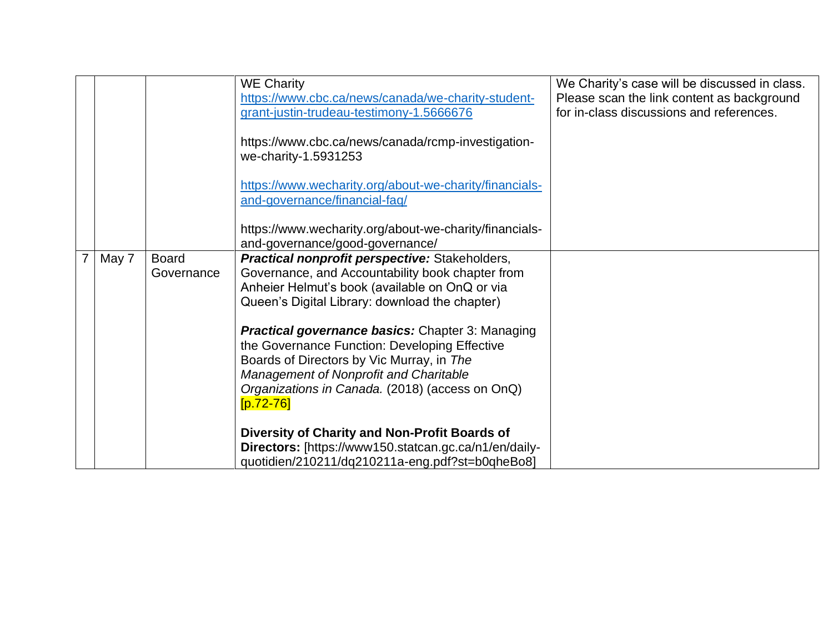|       |              | <b>WE Charity</b><br>https://www.cbc.ca/news/canada/we-charity-student-<br>grant-justin-trudeau-testimony-1.5666676 | We Charity's case will be discussed in class.<br>Please scan the link content as background<br>for in-class discussions and references. |
|-------|--------------|---------------------------------------------------------------------------------------------------------------------|-----------------------------------------------------------------------------------------------------------------------------------------|
|       |              | https://www.cbc.ca/news/canada/rcmp-investigation-<br>we-charity-1.5931253                                          |                                                                                                                                         |
|       |              | https://www.wecharity.org/about-we-charity/financials-<br>and-governance/financial-faq/                             |                                                                                                                                         |
|       |              | https://www.wecharity.org/about-we-charity/financials-<br>and-governance/good-governance/                           |                                                                                                                                         |
| May 7 | <b>Board</b> | <b>Practical nonprofit perspective:</b> Stakeholders,                                                               |                                                                                                                                         |
|       | Governance   | Governance, and Accountability book chapter from                                                                    |                                                                                                                                         |
|       |              | Anheier Helmut's book (available on OnQ or via                                                                      |                                                                                                                                         |
|       |              | Queen's Digital Library: download the chapter)                                                                      |                                                                                                                                         |
|       |              |                                                                                                                     |                                                                                                                                         |
|       |              | <b>Practical governance basics:</b> Chapter 3: Managing                                                             |                                                                                                                                         |
|       |              | the Governance Function: Developing Effective                                                                       |                                                                                                                                         |
|       |              | Boards of Directors by Vic Murray, in The                                                                           |                                                                                                                                         |
|       |              | <b>Management of Nonprofit and Charitable</b>                                                                       |                                                                                                                                         |
|       |              | Organizations in Canada. (2018) (access on OnQ)                                                                     |                                                                                                                                         |
|       |              | $[p.72-76]$                                                                                                         |                                                                                                                                         |
|       |              | Diversity of Charity and Non-Profit Boards of                                                                       |                                                                                                                                         |
|       |              | Directors: [https://www150.statcan.gc.ca/n1/en/daily-                                                               |                                                                                                                                         |
|       |              | quotidien/210211/dq210211a-eng.pdf?st=b0qheBo8]                                                                     |                                                                                                                                         |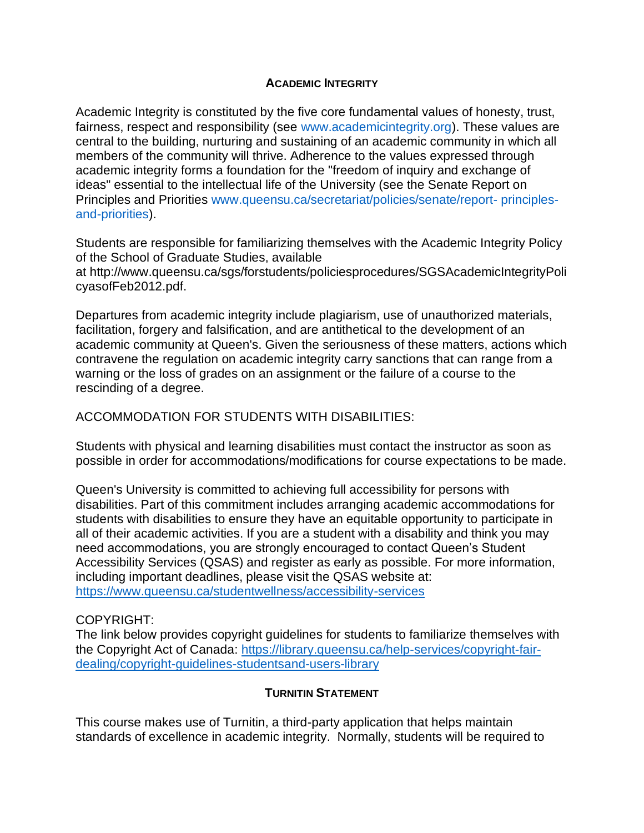#### **ACADEMIC INTEGRITY**

Academic Integrity is constituted by the five core fundamental values of honesty, trust, fairness, respect and responsibility (see www.academicintegrity.org). These values are central to the building, nurturing and sustaining of an academic community in which all members of the community will thrive. Adherence to the values expressed through academic integrity forms a foundation for the "freedom of inquiry and exchange of ideas" essential to the intellectual life of the University (see the Senate Report on Principles and Priorities www.queensu.ca/secretariat/policies/senate/report- principlesand-priorities).

Students are responsible for familiarizing themselves with the Academic Integrity Policy of the School of Graduate Studies, available at [http://www.queensu.ca/sgs/forstudents/policiesprocedures/SGSAcademicIntegrityPoli](https://qwa.queensu.ca/owa/redir.aspx?C=PAY9I5R9OU2L4PWKXcD-2mkVg0iGyNAIJSEfRgoPyS0G8JuyEhXFkdTACKOMmTDygiq4hwCzDyk.&URL=http%3a%2f%2fwww.queensu.ca%2fsgs%2fforstudents%2fpoliciesprocedures%2fSGSAcademicIntegrityPolicyasofFeb2012.pdf) [cyasofFeb2012.pdf.](https://qwa.queensu.ca/owa/redir.aspx?C=PAY9I5R9OU2L4PWKXcD-2mkVg0iGyNAIJSEfRgoPyS0G8JuyEhXFkdTACKOMmTDygiq4hwCzDyk.&URL=http%3a%2f%2fwww.queensu.ca%2fsgs%2fforstudents%2fpoliciesprocedures%2fSGSAcademicIntegrityPolicyasofFeb2012.pdf)

Departures from academic integrity include plagiarism, use of unauthorized materials, facilitation, forgery and falsification, and are antithetical to the development of an academic community at Queen's. Given the seriousness of these matters, actions which contravene the regulation on academic integrity carry sanctions that can range from a warning or the loss of grades on an assignment or the failure of a course to the rescinding of a degree.

ACCOMMODATION FOR STUDENTS WITH DISABILITIES:

Students with physical and learning disabilities must contact the instructor as soon as possible in order for accommodations/modifications for course expectations to be made.

Queen's University is committed to achieving full accessibility for persons with disabilities. Part of this commitment includes arranging academic accommodations for students with disabilities to ensure they have an equitable opportunity to participate in all of their academic activities. If you are a student with a disability and think you may need accommodations, you are strongly encouraged to contact Queen's Student Accessibility Services (QSAS) and register as early as possible. For more information, including important deadlines, please visit the QSAS website at: <https://www.queensu.ca/studentwellness/accessibility-services>

## COPYRIGHT:

The link below provides copyright guidelines for students to familiarize themselves with the Copyright Act of Canada: [https://library.queensu.ca/help-services/copyright-fair](https://library.queensu.ca/help-services/copyright-fair-dealing/copyright-guidelines-studentsand-users-library)[dealing/copyright-guidelines-studentsand-users-library](https://library.queensu.ca/help-services/copyright-fair-dealing/copyright-guidelines-studentsand-users-library)

## **TURNITIN STATEMENT**

This course makes use of Turnitin, a third-party application that helps maintain standards of excellence in academic integrity. Normally, students will be required to